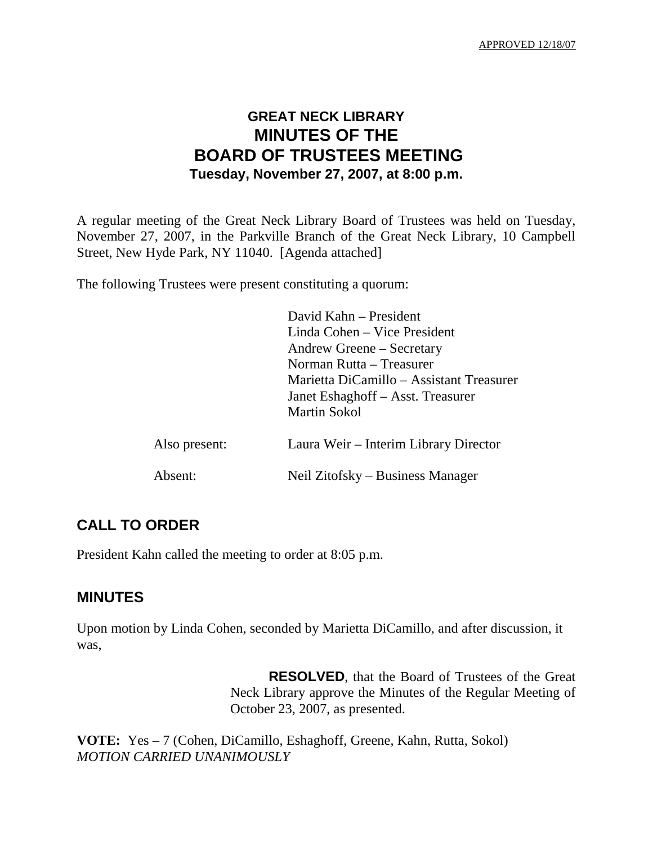APPROVED 12/18/07

# **GREAT NECK LIBRARY MINUTES OF THE BOARD OF TRUSTEES MEETING Tuesday, November 27, 2007, at 8:00 p.m.**

A regular meeting of the Great Neck Library Board of Trustees was held on Tuesday, November 27, 2007, in the Parkville Branch of the Great Neck Library, 10 Campbell Street, New Hyde Park, NY 11040. [Agenda attached]

The following Trustees were present constituting a quorum:

|               | David Kahn – President                   |
|---------------|------------------------------------------|
|               | Linda Cohen – Vice President             |
|               | Andrew Greene – Secretary                |
|               | Norman Rutta – Treasurer                 |
|               | Marietta DiCamillo – Assistant Treasurer |
|               | Janet Eshaghoff – Asst. Treasurer        |
|               | <b>Martin Sokol</b>                      |
| Also present: | Laura Weir – Interim Library Director    |
| Absent:       | Neil Zitofsky – Business Manager         |

## **CALL TO ORDER**

President Kahn called the meeting to order at 8:05 p.m.

## **MINUTES**

Upon motion by Linda Cohen, seconded by Marietta DiCamillo, and after discussion, it was,

> **RESOLVED**, that the Board of Trustees of the Great Neck Library approve the Minutes of the Regular Meeting of October 23, 2007, as presented.

**VOTE:** Yes – 7 (Cohen, DiCamillo, Eshaghoff, Greene, Kahn, Rutta, Sokol) *MOTION CARRIED UNANIMOUSLY*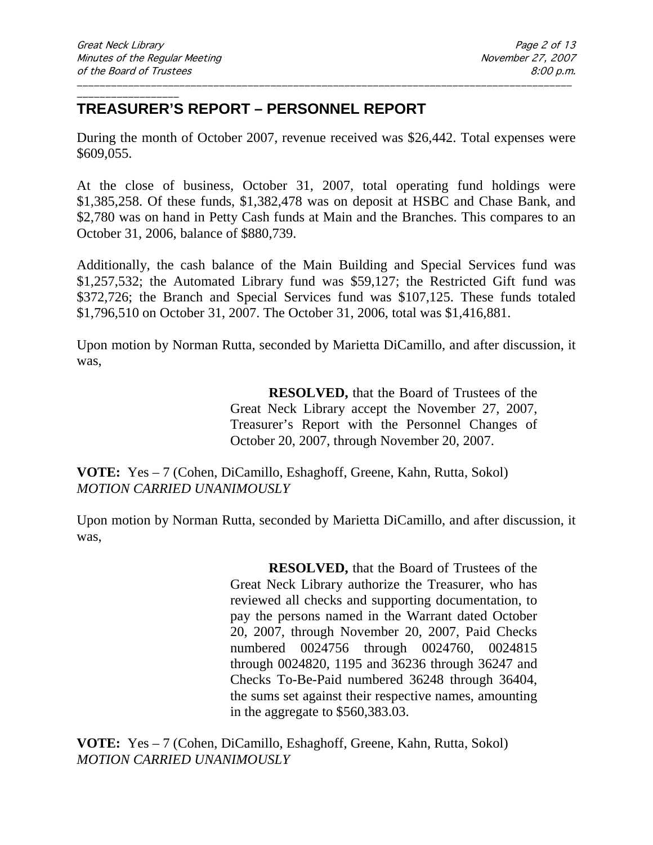#### \_\_\_\_\_\_\_\_\_\_\_\_\_\_\_\_\_\_ **TREASURER'S REPORT – PERSONNEL REPORT**

During the month of October 2007, revenue received was \$26,442. Total expenses were \$609,055.

\_\_\_\_\_\_\_\_\_\_\_\_\_\_\_\_\_\_\_\_\_\_\_\_\_\_\_\_\_\_\_\_\_\_\_\_\_\_\_\_\_\_\_\_\_\_\_\_\_\_\_\_\_\_\_\_\_\_\_\_\_\_\_\_\_\_\_\_\_\_\_\_\_\_\_\_\_\_\_\_\_\_\_\_\_\_\_

At the close of business, October 31, 2007, total operating fund holdings were \$1,385,258. Of these funds, \$1,382,478 was on deposit at HSBC and Chase Bank, and \$2,780 was on hand in Petty Cash funds at Main and the Branches. This compares to an October 31, 2006, balance of \$880,739.

Additionally, the cash balance of the Main Building and Special Services fund was \$1,257,532; the Automated Library fund was \$59,127; the Restricted Gift fund was \$372,726; the Branch and Special Services fund was \$107,125. These funds totaled \$1,796,510 on October 31, 2007. The October 31, 2006, total was \$1,416,881.

Upon motion by Norman Rutta, seconded by Marietta DiCamillo, and after discussion, it was,

> **RESOLVED,** that the Board of Trustees of the Great Neck Library accept the November 27, 2007, Treasurer's Report with the Personnel Changes of October 20, 2007, through November 20, 2007.

**VOTE:** Yes – 7 (Cohen, DiCamillo, Eshaghoff, Greene, Kahn, Rutta, Sokol) *MOTION CARRIED UNANIMOUSLY*

Upon motion by Norman Rutta, seconded by Marietta DiCamillo, and after discussion, it was,

> **RESOLVED,** that the Board of Trustees of the Great Neck Library authorize the Treasurer, who has reviewed all checks and supporting documentation, to pay the persons named in the Warrant dated October 20, 2007, through November 20, 2007, Paid Checks numbered 0024756 through 0024760, 0024815 through 0024820, 1195 and 36236 through 36247 and Checks To-Be-Paid numbered 36248 through 36404, the sums set against their respective names, amounting in the aggregate to \$560,383.03.

**VOTE:** Yes – 7 (Cohen, DiCamillo, Eshaghoff, Greene, Kahn, Rutta, Sokol) *MOTION CARRIED UNANIMOUSLY*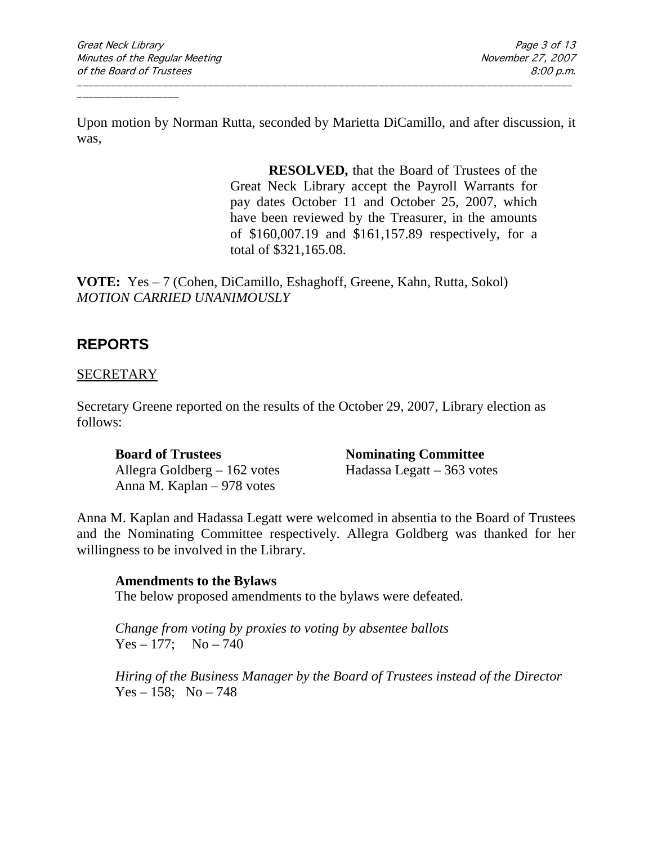Upon motion by Norman Rutta, seconded by Marietta DiCamillo, and after discussion, it was,

\_\_\_\_\_\_\_\_\_\_\_\_\_\_\_\_\_\_\_\_\_\_\_\_\_\_\_\_\_\_\_\_\_\_\_\_\_\_\_\_\_\_\_\_\_\_\_\_\_\_\_\_\_\_\_\_\_\_\_\_\_\_\_\_\_\_\_\_\_\_\_\_\_\_\_\_\_\_\_\_\_\_\_\_\_\_\_

**RESOLVED,** that the Board of Trustees of the Great Neck Library accept the Payroll Warrants for pay dates October 11 and October 25, 2007, which have been reviewed by the Treasurer, in the amounts of \$160,007.19 and \$161,157.89 respectively, for a total of \$321,165.08.

**VOTE:** Yes – 7 (Cohen, DiCamillo, Eshaghoff, Greene, Kahn, Rutta, Sokol) *MOTION CARRIED UNANIMOUSLY*

# **REPORTS**

## SECRETARY

Secretary Greene reported on the results of the October 29, 2007, Library election as follows:

**Board of Trustees Nominating Committee** Allegra Goldberg – 162 votes Hadassa Legatt – 363 votes Anna M. Kaplan – 978 votes

Anna M. Kaplan and Hadassa Legatt were welcomed in absentia to the Board of Trustees and the Nominating Committee respectively. Allegra Goldberg was thanked for her willingness to be involved in the Library.

## **Amendments to the Bylaws**

The below proposed amendments to the bylaws were defeated.

*Change from voting by proxies to voting by absentee ballots*  $Yes - 177; No - 740$ 

*Hiring of the Business Manager by the Board of Trustees instead of the Director*  $Yes - 158; No - 748$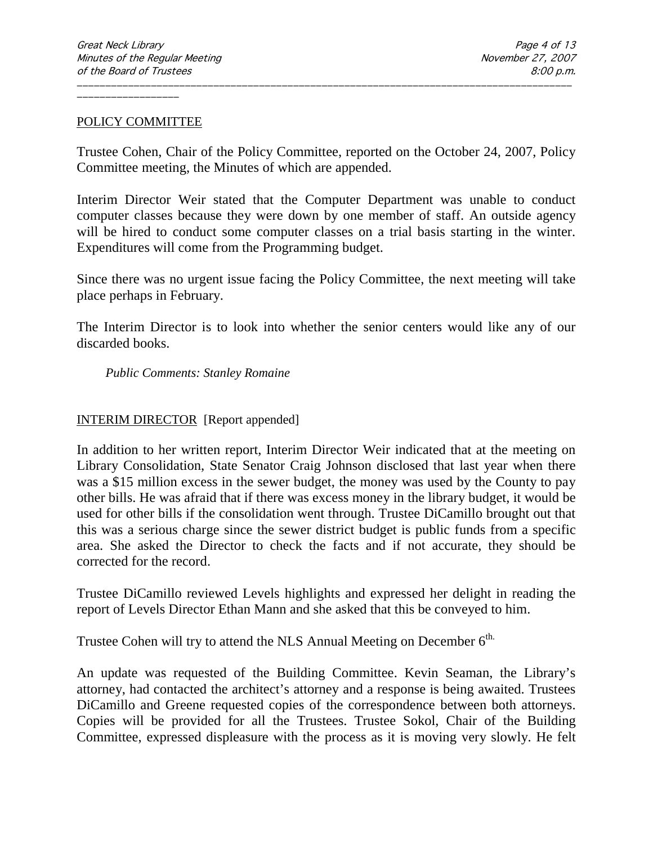POLICY COMMITTEE

\_\_\_\_\_\_\_\_\_\_\_\_\_\_\_\_\_\_

Trustee Cohen, Chair of the Policy Committee, reported on the October 24, 2007, Policy Committee meeting, the Minutes of which are appended.

\_\_\_\_\_\_\_\_\_\_\_\_\_\_\_\_\_\_\_\_\_\_\_\_\_\_\_\_\_\_\_\_\_\_\_\_\_\_\_\_\_\_\_\_\_\_\_\_\_\_\_\_\_\_\_\_\_\_\_\_\_\_\_\_\_\_\_\_\_\_\_\_\_\_\_\_\_\_\_\_\_\_\_\_\_\_\_

Interim Director Weir stated that the Computer Department was unable to conduct computer classes because they were down by one member of staff. An outside agency will be hired to conduct some computer classes on a trial basis starting in the winter. Expenditures will come from the Programming budget.

Since there was no urgent issue facing the Policy Committee, the next meeting will take place perhaps in February.

The Interim Director is to look into whether the senior centers would like any of our discarded books.

*Public Comments: Stanley Romaine*

### INTERIM DIRECTOR [Report appended]

In addition to her written report, Interim Director Weir indicated that at the meeting on Library Consolidation, State Senator Craig Johnson disclosed that last year when there was a \$15 million excess in the sewer budget, the money was used by the County to pay other bills. He was afraid that if there was excess money in the library budget, it would be used for other bills if the consolidation went through. Trustee DiCamillo brought out that this was a serious charge since the sewer district budget is public funds from a specific area. She asked the Director to check the facts and if not accurate, they should be corrected for the record.

Trustee DiCamillo reviewed Levels highlights and expressed her delight in reading the report of Levels Director Ethan Mann and she asked that this be conveyed to him.

Trustee Cohen will try to attend the NLS Annual Meeting on December 6<sup>th.</sup>

An update was requested of the Building Committee. Kevin Seaman, the Library's attorney, had contacted the architect's attorney and a response is being awaited. Trustees DiCamillo and Greene requested copies of the correspondence between both attorneys. Copies will be provided for all the Trustees. Trustee Sokol, Chair of the Building Committee, expressed displeasure with the process as it is moving very slowly. He felt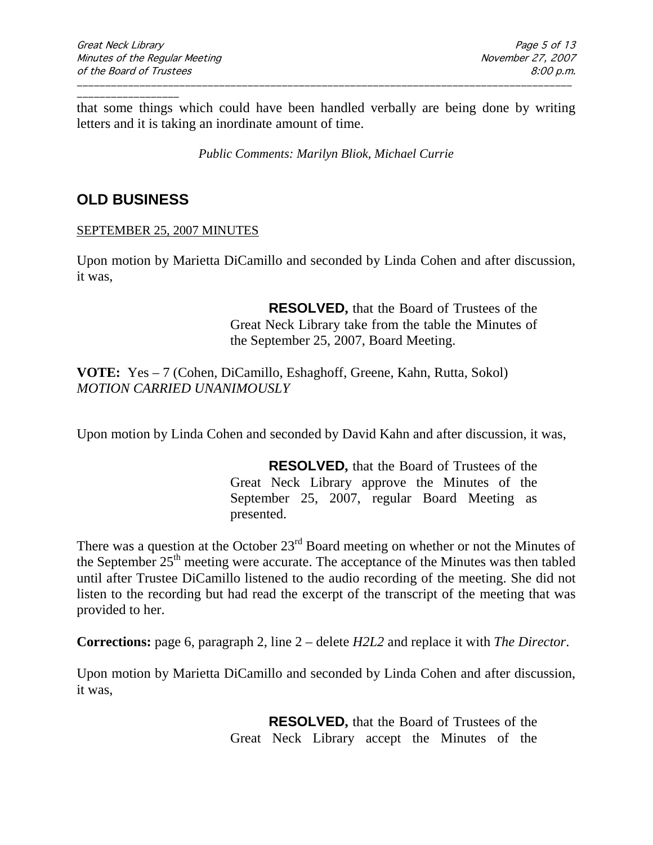\_\_\_\_\_\_\_\_\_\_\_\_\_\_\_\_\_\_ that some things which could have been handled verbally are being done by writing letters and it is taking an inordinate amount of time.

\_\_\_\_\_\_\_\_\_\_\_\_\_\_\_\_\_\_\_\_\_\_\_\_\_\_\_\_\_\_\_\_\_\_\_\_\_\_\_\_\_\_\_\_\_\_\_\_\_\_\_\_\_\_\_\_\_\_\_\_\_\_\_\_\_\_\_\_\_\_\_\_\_\_\_\_\_\_\_\_\_\_\_\_\_\_\_

*Public Comments: Marilyn Bliok, Michael Currie* 

# **OLD BUSINESS**

## SEPTEMBER 25, 2007 MINUTES

Upon motion by Marietta DiCamillo and seconded by Linda Cohen and after discussion, it was,

> **RESOLVED,** that the Board of Trustees of the Great Neck Library take from the table the Minutes of the September 25, 2007, Board Meeting.

**VOTE:** Yes – 7 (Cohen, DiCamillo, Eshaghoff, Greene, Kahn, Rutta, Sokol) *MOTION CARRIED UNANIMOUSLY*

Upon motion by Linda Cohen and seconded by David Kahn and after discussion, it was,

**RESOLVED,** that the Board of Trustees of the Great Neck Library approve the Minutes of the September 25, 2007, regular Board Meeting as presented.

There was a question at the October  $23<sup>rd</sup>$  Board meeting on whether or not the Minutes of the September 25<sup>th</sup> meeting were accurate. The acceptance of the Minutes was then tabled until after Trustee DiCamillo listened to the audio recording of the meeting. She did not listen to the recording but had read the excerpt of the transcript of the meeting that was provided to her.

**Corrections:** page 6, paragraph 2, line 2 – delete *H2L2* and replace it with *The Director*.

Upon motion by Marietta DiCamillo and seconded by Linda Cohen and after discussion, it was,

> **RESOLVED,** that the Board of Trustees of the Great Neck Library accept the Minutes of the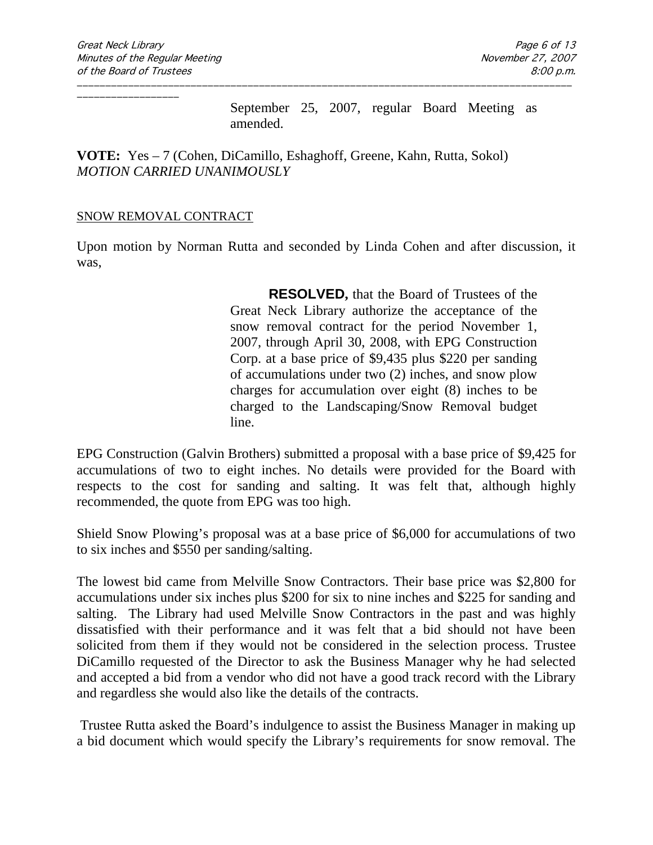September 25, 2007, regular Board Meeting as amended.

## **VOTE:** Yes – 7 (Cohen, DiCamillo, Eshaghoff, Greene, Kahn, Rutta, Sokol) *MOTION CARRIED UNANIMOUSLY*

## SNOW REMOVAL CONTRACT

Upon motion by Norman Rutta and seconded by Linda Cohen and after discussion, it was,

\_\_\_\_\_\_\_\_\_\_\_\_\_\_\_\_\_\_\_\_\_\_\_\_\_\_\_\_\_\_\_\_\_\_\_\_\_\_\_\_\_\_\_\_\_\_\_\_\_\_\_\_\_\_\_\_\_\_\_\_\_\_\_\_\_\_\_\_\_\_\_\_\_\_\_\_\_\_\_\_\_\_\_\_\_\_\_

**RESOLVED,** that the Board of Trustees of the Great Neck Library authorize the acceptance of the snow removal contract for the period November 1, 2007, through April 30, 2008, with EPG Construction Corp. at a base price of \$9,435 plus \$220 per sanding of accumulations under two (2) inches, and snow plow charges for accumulation over eight (8) inches to be charged to the Landscaping/Snow Removal budget line.

EPG Construction (Galvin Brothers) submitted a proposal with a base price of \$9,425 for accumulations of two to eight inches. No details were provided for the Board with respects to the cost for sanding and salting. It was felt that, although highly recommended, the quote from EPG was too high.

Shield Snow Plowing's proposal was at a base price of \$6,000 for accumulations of two to six inches and \$550 per sanding/salting.

The lowest bid came from Melville Snow Contractors. Their base price was \$2,800 for accumulations under six inches plus \$200 for six to nine inches and \$225 for sanding and salting. The Library had used Melville Snow Contractors in the past and was highly dissatisfied with their performance and it was felt that a bid should not have been solicited from them if they would not be considered in the selection process. Trustee DiCamillo requested of the Director to ask the Business Manager why he had selected and accepted a bid from a vendor who did not have a good track record with the Library and regardless she would also like the details of the contracts.

Trustee Rutta asked the Board's indulgence to assist the Business Manager in making up a bid document which would specify the Library's requirements for snow removal. The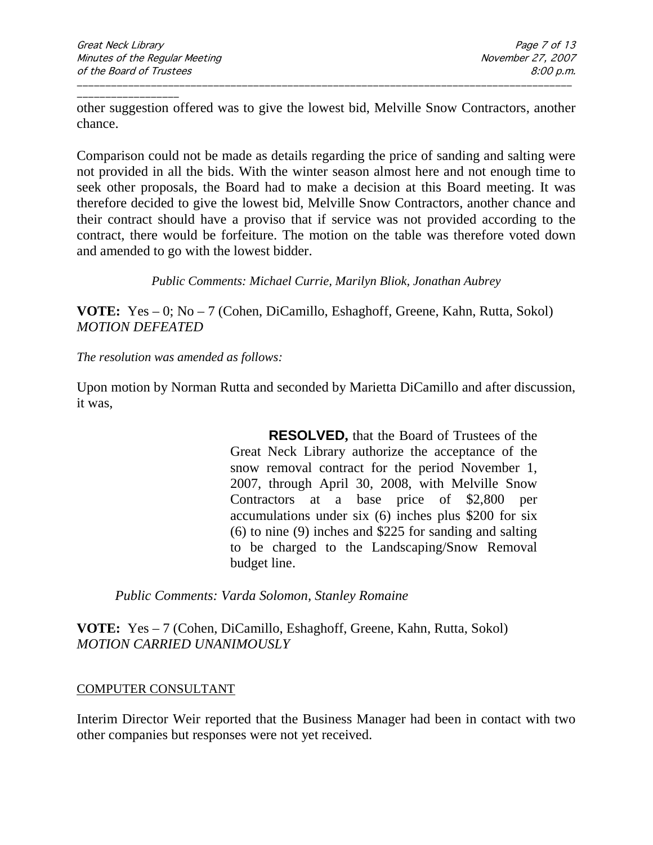\_\_\_\_\_\_\_\_\_\_\_\_\_\_\_\_\_\_ other suggestion offered was to give the lowest bid, Melville Snow Contractors, another chance.

\_\_\_\_\_\_\_\_\_\_\_\_\_\_\_\_\_\_\_\_\_\_\_\_\_\_\_\_\_\_\_\_\_\_\_\_\_\_\_\_\_\_\_\_\_\_\_\_\_\_\_\_\_\_\_\_\_\_\_\_\_\_\_\_\_\_\_\_\_\_\_\_\_\_\_\_\_\_\_\_\_\_\_\_\_\_\_

Comparison could not be made as details regarding the price of sanding and salting were not provided in all the bids. With the winter season almost here and not enough time to seek other proposals, the Board had to make a decision at this Board meeting. It was therefore decided to give the lowest bid, Melville Snow Contractors, another chance and their contract should have a proviso that if service was not provided according to the contract, there would be forfeiture. The motion on the table was therefore voted down and amended to go with the lowest bidder.

*Public Comments: Michael Currie, Marilyn Bliok, Jonathan Aubrey*

**VOTE:** Yes – 0; No – 7 (Cohen, DiCamillo, Eshaghoff, Greene, Kahn, Rutta, Sokol) *MOTION DEFEATED*

*The resolution was amended as follows:*

Upon motion by Norman Rutta and seconded by Marietta DiCamillo and after discussion, it was,

> **RESOLVED,** that the Board of Trustees of the Great Neck Library authorize the acceptance of the snow removal contract for the period November 1, 2007, through April 30, 2008, with Melville Snow Contractors at a base price of \$2,800 per accumulations under six (6) inches plus \$200 for six (6) to nine (9) inches and \$225 for sanding and salting to be charged to the Landscaping/Snow Removal budget line.

*Public Comments: Varda Solomon, Stanley Romaine*

**VOTE:** Yes – 7 (Cohen, DiCamillo, Eshaghoff, Greene, Kahn, Rutta, Sokol) *MOTION CARRIED UNANIMOUSLY*

## COMPUTER CONSULTANT

Interim Director Weir reported that the Business Manager had been in contact with two other companies but responses were not yet received.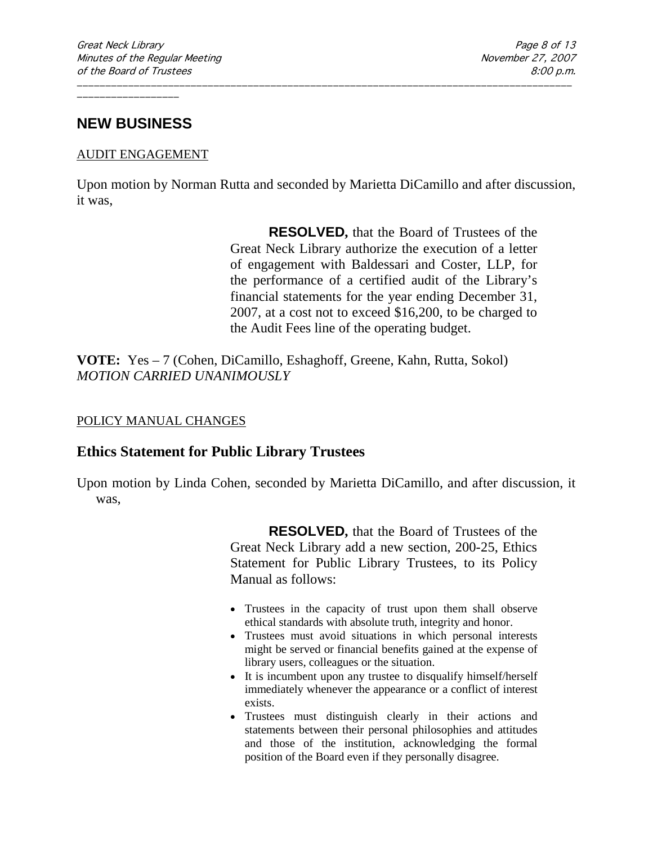# **NEW BUSINESS**

\_\_\_\_\_\_\_\_\_\_\_\_\_\_\_\_\_\_

### AUDIT ENGAGEMENT

Upon motion by Norman Rutta and seconded by Marietta DiCamillo and after discussion, it was,

\_\_\_\_\_\_\_\_\_\_\_\_\_\_\_\_\_\_\_\_\_\_\_\_\_\_\_\_\_\_\_\_\_\_\_\_\_\_\_\_\_\_\_\_\_\_\_\_\_\_\_\_\_\_\_\_\_\_\_\_\_\_\_\_\_\_\_\_\_\_\_\_\_\_\_\_\_\_\_\_\_\_\_\_\_\_\_

**RESOLVED,** that the Board of Trustees of the Great Neck Library authorize the execution of a letter of engagement with Baldessari and Coster, LLP, for the performance of a certified audit of the Library's financial statements for the year ending December 31, 2007, at a cost not to exceed \$16,200, to be charged to the Audit Fees line of the operating budget.

**VOTE:** Yes – 7 (Cohen, DiCamillo, Eshaghoff, Greene, Kahn, Rutta, Sokol) *MOTION CARRIED UNANIMOUSLY*

### POLICY MANUAL CHANGES

## **Ethics Statement for Public Library Trustees**

Upon motion by Linda Cohen, seconded by Marietta DiCamillo, and after discussion, it was,

> **RESOLVED,** that the Board of Trustees of the Great Neck Library add a new section, 200-25, Ethics Statement for Public Library Trustees, to its Policy Manual as follows:

- Trustees in the capacity of trust upon them shall observe ethical standards with absolute truth, integrity and honor.
- Trustees must avoid situations in which personal interests might be served or financial benefits gained at the expense of library users, colleagues or the situation.
- It is incumbent upon any trustee to disqualify himself/herself immediately whenever the appearance or a conflict of interest exists.
- Trustees must distinguish clearly in their actions and statements between their personal philosophies and attitudes and those of the institution, acknowledging the formal position of the Board even if they personally disagree.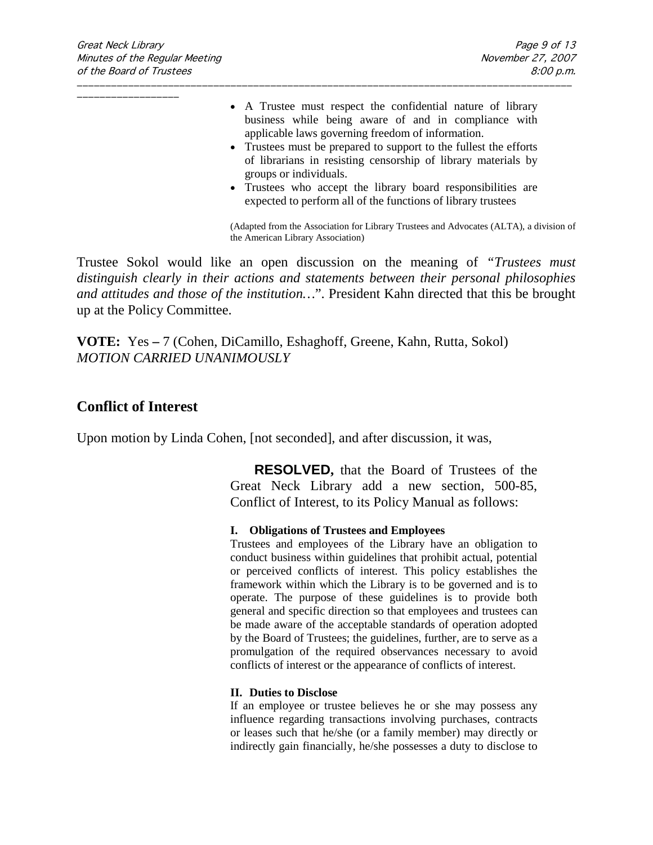- A Trustee must respect the confidential nature of library business while being aware of and in compliance with applicable laws governing freedom of information.
- Trustees must be prepared to support to the fullest the efforts of librarians in resisting censorship of library materials by groups or individuals.
- Trustees who accept the library board responsibilities are expected to perform all of the functions of library trustees

(Adapted from the Association for Library Trustees and Advocates (ALTA), a division of the American Library Association)

Trustee Sokol would like an open discussion on the meaning of *"Trustees must distinguish clearly in their actions and statements between their personal philosophies and attitudes and those of the institution…*". President Kahn directed that this be brought up at the Policy Committee.

\_\_\_\_\_\_\_\_\_\_\_\_\_\_\_\_\_\_\_\_\_\_\_\_\_\_\_\_\_\_\_\_\_\_\_\_\_\_\_\_\_\_\_\_\_\_\_\_\_\_\_\_\_\_\_\_\_\_\_\_\_\_\_\_\_\_\_\_\_\_\_\_\_\_\_\_\_\_\_\_\_\_\_\_\_\_\_

**VOTE:** Yes **–** 7 (Cohen, DiCamillo, Eshaghoff, Greene, Kahn, Rutta, Sokol) *MOTION CARRIED UNANIMOUSLY* 

## **Conflict of Interest**

Upon motion by Linda Cohen, [not seconded], and after discussion, it was,

**RESOLVED,** that the Board of Trustees of the Great Neck Library add a new section, 500-85, Conflict of Interest, to its Policy Manual as follows:

#### **I. Obligations of Trustees and Employees**

Trustees and employees of the Library have an obligation to conduct business within guidelines that prohibit actual, potential or perceived conflicts of interest. This policy establishes the framework within which the Library is to be governed and is to operate. The purpose of these guidelines is to provide both general and specific direction so that employees and trustees can be made aware of the acceptable standards of operation adopted by the Board of Trustees; the guidelines, further, are to serve as a promulgation of the required observances necessary to avoid conflicts of interest or the appearance of conflicts of interest.

#### **II. Duties to Disclose**

If an employee or trustee believes he or she may possess any influence regarding transactions involving purchases, contracts or leases such that he/she (or a family member) may directly or indirectly gain financially, he/she possesses a duty to disclose to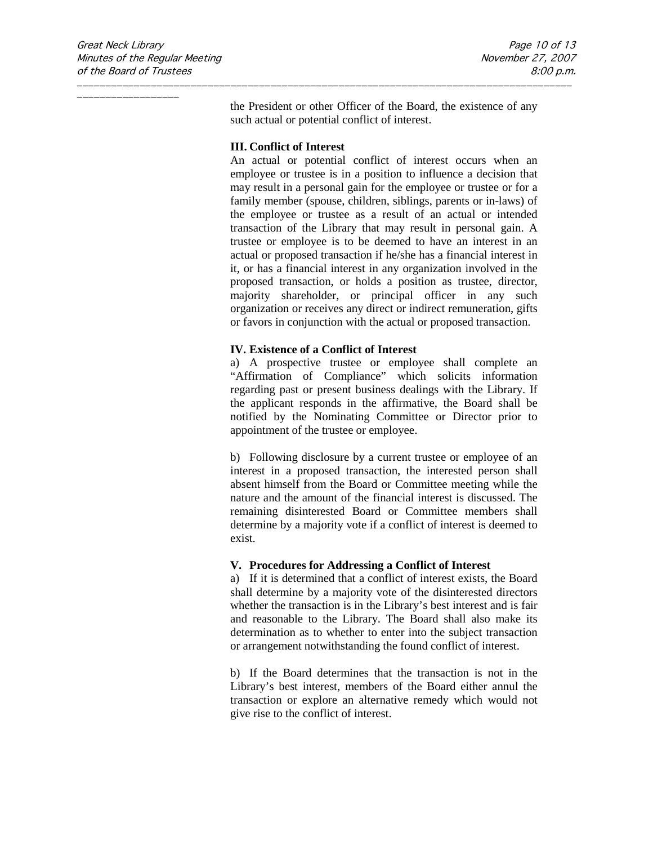the President or other Officer of the Board, the existence of any such actual or potential conflict of interest.

#### **III. Conflict of Interest**

\_\_\_\_\_\_\_\_\_\_\_\_\_\_\_\_\_\_\_\_\_\_\_\_\_\_\_\_\_\_\_\_\_\_\_\_\_\_\_\_\_\_\_\_\_\_\_\_\_\_\_\_\_\_\_\_\_\_\_\_\_\_\_\_\_\_\_\_\_\_\_\_\_\_\_\_\_\_\_\_\_\_\_\_\_\_\_

An actual or potential conflict of interest occurs when an employee or trustee is in a position to influence a decision that may result in a personal gain for the employee or trustee or for a family member (spouse, children, siblings, parents or in-laws) of the employee or trustee as a result of an actual or intended transaction of the Library that may result in personal gain. A trustee or employee is to be deemed to have an interest in an actual or proposed transaction if he/she has a financial interest in it, or has a financial interest in any organization involved in the proposed transaction, or holds a position as trustee, director, majority shareholder, or principal officer in any such organization or receives any direct or indirect remuneration, gifts or favors in conjunction with the actual or proposed transaction.

#### **IV. Existence of a Conflict of Interest**

a) A prospective trustee or employee shall complete an "Affirmation of Compliance" which solicits information regarding past or present business dealings with the Library. If the applicant responds in the affirmative, the Board shall be notified by the Nominating Committee or Director prior to appointment of the trustee or employee.

b) Following disclosure by a current trustee or employee of an interest in a proposed transaction, the interested person shall absent himself from the Board or Committee meeting while the nature and the amount of the financial interest is discussed. The remaining disinterested Board or Committee members shall determine by a majority vote if a conflict of interest is deemed to exist.

#### **V. Procedures for Addressing a Conflict of Interest**

a) If it is determined that a conflict of interest exists, the Board shall determine by a majority vote of the disinterested directors whether the transaction is in the Library's best interest and is fair and reasonable to the Library. The Board shall also make its determination as to whether to enter into the subject transaction or arrangement notwithstanding the found conflict of interest.

b) If the Board determines that the transaction is not in the Library's best interest, members of the Board either annul the transaction or explore an alternative remedy which would not give rise to the conflict of interest.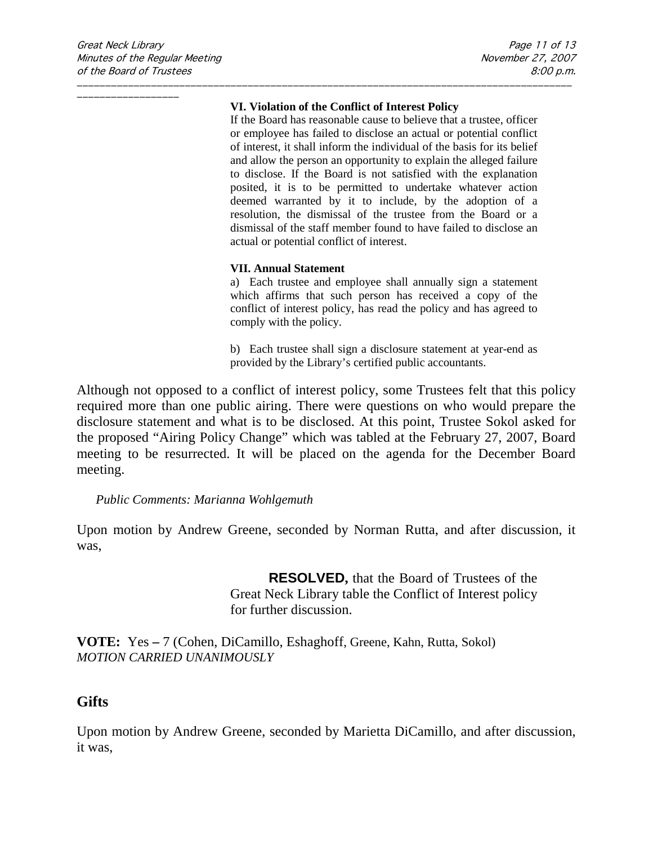#### **VI. Violation of the Conflict of Interest Policy**

\_\_\_\_\_\_\_\_\_\_\_\_\_\_\_\_\_\_\_\_\_\_\_\_\_\_\_\_\_\_\_\_\_\_\_\_\_\_\_\_\_\_\_\_\_\_\_\_\_\_\_\_\_\_\_\_\_\_\_\_\_\_\_\_\_\_\_\_\_\_\_\_\_\_\_\_\_\_\_\_\_\_\_\_\_\_\_

If the Board has reasonable cause to believe that a trustee, officer or employee has failed to disclose an actual or potential conflict of interest, it shall inform the individual of the basis for its belief and allow the person an opportunity to explain the alleged failure to disclose. If the Board is not satisfied with the explanation posited, it is to be permitted to undertake whatever action deemed warranted by it to include, by the adoption of a resolution, the dismissal of the trustee from the Board or a dismissal of the staff member found to have failed to disclose an actual or potential conflict of interest.

#### **VII. Annual Statement**

a) Each trustee and employee shall annually sign a statement which affirms that such person has received a copy of the conflict of interest policy, has read the policy and has agreed to comply with the policy.

b) Each trustee shall sign a disclosure statement at year-end as provided by the Library's certified public accountants.

Although not opposed to a conflict of interest policy, some Trustees felt that this policy required more than one public airing. There were questions on who would prepare the disclosure statement and what is to be disclosed. At this point, Trustee Sokol asked for the proposed "Airing Policy Change" which was tabled at the February 27, 2007, Board meeting to be resurrected. It will be placed on the agenda for the December Board meeting.

#### *Public Comments: Marianna Wohlgemuth*

Upon motion by Andrew Greene, seconded by Norman Rutta, and after discussion, it was,

> **RESOLVED,** that the Board of Trustees of the Great Neck Library table the Conflict of Interest policy for further discussion.

**VOTE:** Yes **–** 7 (Cohen, DiCamillo, Eshaghoff, Greene, Kahn, Rutta, Sokol) *MOTION CARRIED UNANIMOUSLY*

## **Gifts**

Upon motion by Andrew Greene, seconded by Marietta DiCamillo, and after discussion, it was,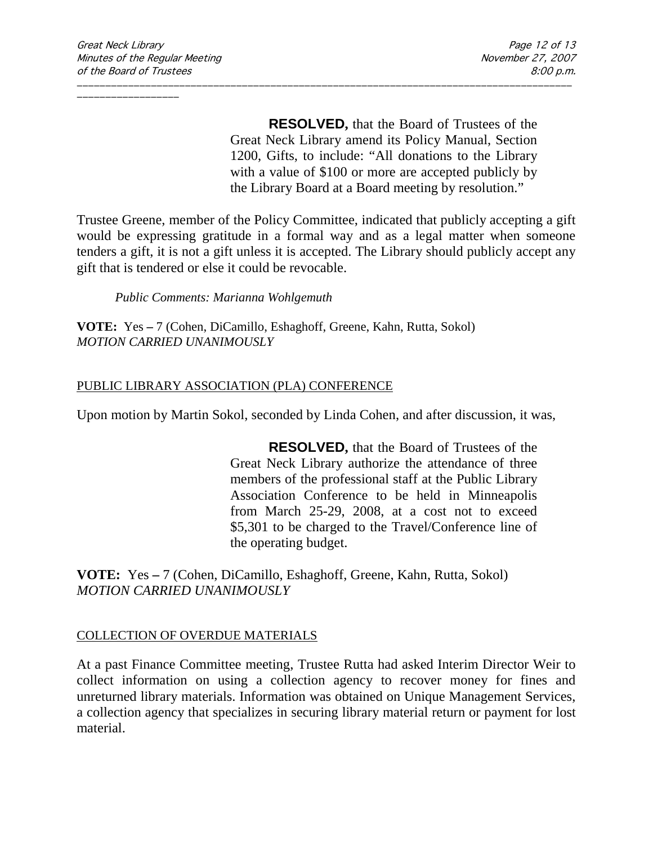**RESOLVED,** that the Board of Trustees of the Great Neck Library amend its Policy Manual, Section 1200, Gifts, to include: "All donations to the Library with a value of \$100 or more are accepted publicly by the Library Board at a Board meeting by resolution."

Trustee Greene, member of the Policy Committee, indicated that publicly accepting a gift would be expressing gratitude in a formal way and as a legal matter when someone tenders a gift, it is not a gift unless it is accepted. The Library should publicly accept any gift that is tendered or else it could be revocable.

\_\_\_\_\_\_\_\_\_\_\_\_\_\_\_\_\_\_\_\_\_\_\_\_\_\_\_\_\_\_\_\_\_\_\_\_\_\_\_\_\_\_\_\_\_\_\_\_\_\_\_\_\_\_\_\_\_\_\_\_\_\_\_\_\_\_\_\_\_\_\_\_\_\_\_\_\_\_\_\_\_\_\_\_\_\_\_

*Public Comments: Marianna Wohlgemuth*

**VOTE:** Yes **–** 7 (Cohen, DiCamillo, Eshaghoff, Greene, Kahn, Rutta, Sokol) *MOTION CARRIED UNANIMOUSLY* 

### PUBLIC LIBRARY ASSOCIATION (PLA) CONFERENCE

Upon motion by Martin Sokol, seconded by Linda Cohen, and after discussion, it was,

**RESOLVED,** that the Board of Trustees of the Great Neck Library authorize the attendance of three members of the professional staff at the Public Library Association Conference to be held in Minneapolis from March 25-29, 2008, at a cost not to exceed \$5,301 to be charged to the Travel/Conference line of the operating budget.

**VOTE:** Yes **–** 7 (Cohen, DiCamillo, Eshaghoff, Greene, Kahn, Rutta, Sokol) *MOTION CARRIED UNANIMOUSLY*

#### COLLECTION OF OVERDUE MATERIALS

At a past Finance Committee meeting, Trustee Rutta had asked Interim Director Weir to collect information on using a collection agency to recover money for fines and unreturned library materials. Information was obtained on Unique Management Services, a collection agency that specializes in securing library material return or payment for lost material.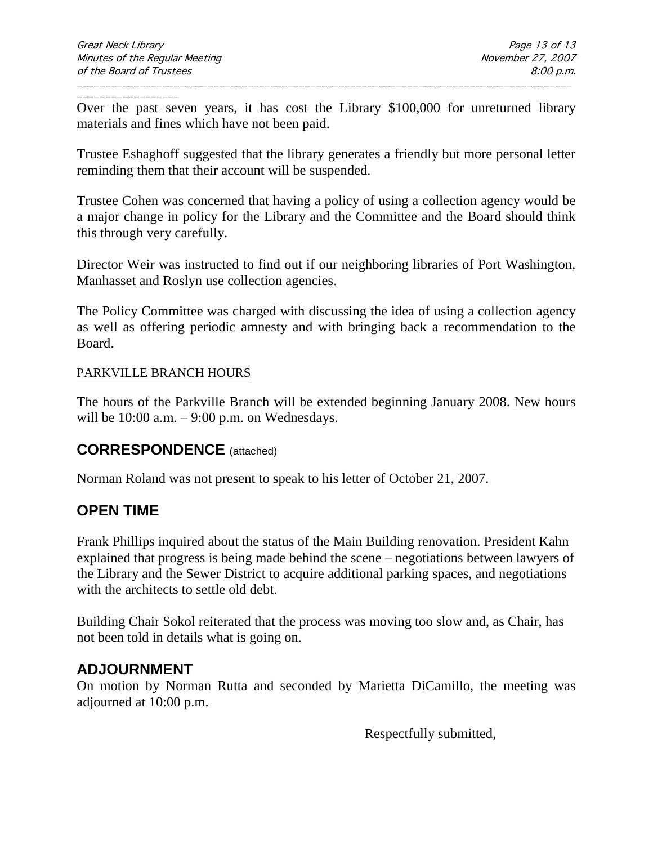\_\_\_\_\_\_\_\_\_\_\_\_\_\_\_\_\_\_ Over the past seven years, it has cost the Library \$100,000 for unreturned library materials and fines which have not been paid.

\_\_\_\_\_\_\_\_\_\_\_\_\_\_\_\_\_\_\_\_\_\_\_\_\_\_\_\_\_\_\_\_\_\_\_\_\_\_\_\_\_\_\_\_\_\_\_\_\_\_\_\_\_\_\_\_\_\_\_\_\_\_\_\_\_\_\_\_\_\_\_\_\_\_\_\_\_\_\_\_\_\_\_\_\_\_\_

Trustee Eshaghoff suggested that the library generates a friendly but more personal letter reminding them that their account will be suspended.

Trustee Cohen was concerned that having a policy of using a collection agency would be a major change in policy for the Library and the Committee and the Board should think this through very carefully.

Director Weir was instructed to find out if our neighboring libraries of Port Washington, Manhasset and Roslyn use collection agencies.

The Policy Committee was charged with discussing the idea of using a collection agency as well as offering periodic amnesty and with bringing back a recommendation to the Board.

## PARKVILLE BRANCH HOURS

The hours of the Parkville Branch will be extended beginning January 2008. New hours will be  $10:00$  a.m.  $-9:00$  p.m. on Wednesdays.

## **CORRESPONDENCE** (attached)

Norman Roland was not present to speak to his letter of October 21, 2007.

## **OPEN TIME**

Frank Phillips inquired about the status of the Main Building renovation. President Kahn explained that progress is being made behind the scene – negotiations between lawyers of the Library and the Sewer District to acquire additional parking spaces, and negotiations with the architects to settle old debt.

Building Chair Sokol reiterated that the process was moving too slow and, as Chair, has not been told in details what is going on.

## **ADJOURNMENT**

On motion by Norman Rutta and seconded by Marietta DiCamillo, the meeting was adjourned at 10:00 p.m.

Respectfully submitted,